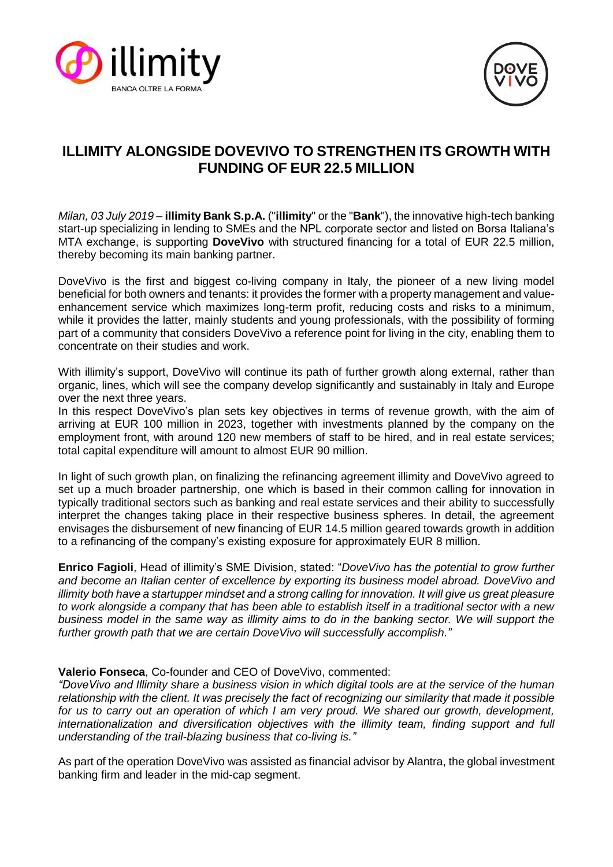



# **ILLIMITY ALONGSIDE DOVEVIVO TO STRENGTHEN ITS GROWTH WITH FUNDING OF EUR 22.5 MILLION**

*Milan, 03 July 2019* – **illimity Bank S.p.A.** ("**illimity**" or the "**Bank**"), the innovative high-tech banking start-up specializing in lending to SMEs and the NPL corporate sector and listed on Borsa Italiana's MTA exchange, is supporting **DoveVivo** with structured financing for a total of EUR 22.5 million, thereby becoming its main banking partner.

DoveVivo is the first and biggest co-living company in Italy, the pioneer of a new living model beneficial for both owners and tenants: it provides the former with a property management and valueenhancement service which maximizes long-term profit, reducing costs and risks to a minimum, while it provides the latter, mainly students and young professionals, with the possibility of forming part of a community that considers DoveVivo a reference point for living in the city, enabling them to concentrate on their studies and work.

With illimity's support, DoveVivo will continue its path of further growth along external, rather than organic, lines, which will see the company develop significantly and sustainably in Italy and Europe over the next three years.

In this respect DoveVivo's plan sets key objectives in terms of revenue growth, with the aim of arriving at EUR 100 million in 2023, together with investments planned by the company on the employment front, with around 120 new members of staff to be hired, and in real estate services; total capital expenditure will amount to almost EUR 90 million.

In light of such growth plan, on finalizing the refinancing agreement illimity and DoveVivo agreed to set up a much broader partnership, one which is based in their common calling for innovation in typically traditional sectors such as banking and real estate services and their ability to successfully interpret the changes taking place in their respective business spheres. In detail, the agreement envisages the disbursement of new financing of EUR 14.5 million geared towards growth in addition to a refinancing of the company's existing exposure for approximately EUR 8 million.

**Enrico Fagioli**, Head of illimity's SME Division, stated: "*DoveVivo has the potential to grow further and become an Italian center of excellence by exporting its business model abroad. DoveVivo and illimity both have a startupper mindset and a strong calling for innovation. It will give us great pleasure to work alongside a company that has been able to establish itself in a traditional sector with a new business model in the same way as illimity aims to do in the banking sector. We will support the further growth path that we are certain DoveVivo will successfully accomplish."*

## **Valerio Fonseca**, Co-founder and CEO of DoveVivo, commented:

*"DoveVivo and Illimity share a business vision in which digital tools are at the service of the human relationship with the client. It was precisely the fact of recognizing our similarity that made it possible for us to carry out an operation of which I am very proud. We shared our growth, development, internationalization and diversification objectives with the illimity team, finding support and full understanding of the trail-blazing business that co-living is."*

As part of the operation DoveVivo was assisted as financial advisor by Alantra, the global investment banking firm and leader in the mid-cap segment.